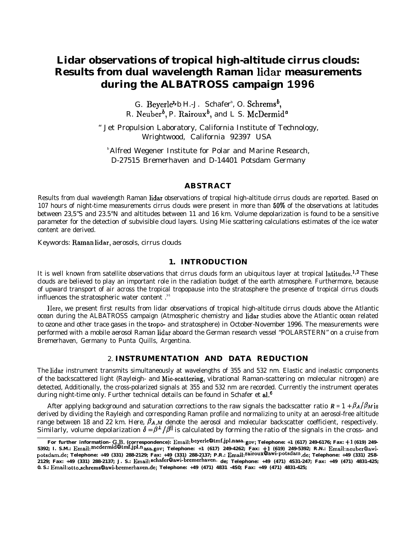# **Lidar observations of tropical high-altitude cirrus clouds: Results from dual wavelength Raman lidar measurements during the ALBATROSS campaign 1996**

G. Beyerle<sup>a,</sup> b<sub>.</sub>H.-J. Schafer<sup>b</sup>, O. Schrems<sup>b</sup>, R. Neuber<sup>o</sup>, P. Rairoux<sup>o</sup>, and L S. McDermid<sup>6</sup>

" Jet Propulsion Laboratory, California Institute of Technology, Wrightwood, California 92397 USA

**Alfred Wegener Institute for Polar and Marine Research,** D-27515 Bremerhaven and D-14401 Potsdam Germany

## **ABSTRACT**

Results from dual wavelength Raman lidar observations of tropical high-altitude cirrus clouds are reported. Based on 107 hours of night-time measurements cirrus clouds were present in more than 5070 of the observations at latitudes between 23,5"S and 23.5°N and altitudes between 11 and 16 km. Volume depolarization is found to be a sensitive parameter for the detection of subvisible cloud layers. Using Mie scattering calculations estimates of the ice water content are derived.

Keywords: Raman lidar, aerosols, cirrus clouds

### **1. INTRODUCTION**

It is well known from satellite observations that cirrus clouds form an ubiquitous layer at tropical latitudes.<sup>1,2</sup> These clouds are believed to play an important role in the radiation budget of the earth atmosphere. Furthermore, because of upward transport of air across the tropical tropopause into the stratosphere the presence of tropical cirrus clouds influences the stratospheric water content.<sup>35</sup>

'IIere, we present first results from lidar observations of tropical high-altitude cirrus clouds above the Atlantic ocean during the ALBATROSS campaign (Atmospheric chemistry and lidar studies above the Atlantic ocean related to ozone and other trace gases in the tropo- and stratosphere) in October-November 1996. The measurements were performed with a mobile aerosol Raman lidar aboard the German research vessel "POLARSTERN" on a cruise from Bremerhaven, Germany to Punta Quills, Argentina.

# 2. **INSTRUMENTATION AND DATA REDUCTION**

The lidar instrument transmits simultaneously at wavelengths of 355 and 532 nm. Elastic and inelastic components of the backscattered light (Rayleigh- and Mie-scattering, vibrational Raman-scattering on molecular nitrogen) are detected, Additionally, the cross-polarized signals at 355 and 532 nm are recorded. Currently the instrument operates during night-time only. Further technical details can be found in Schafer et al.<sup>6</sup>

After applying background and saturation corrections to the raw signals the backscatter ratio  $R = 1 + \beta_A/\beta_M$  is derived by dividing the Rayleigh and corresponding Raman profile and normalizing to unity at an aerosol-free altitude range between 18 and 22 km. Here,  $\beta$ 4, $M$  denote the aerosol and molecular backscatter coefficient, respectively.<br>Similarly, volume depolarization  $\delta = \beta^\perp/\beta^{\parallel}$  is calculated by forming the ratio of the signals in th

For further information- G.B. (correspondence): Email: beyerle@tmf.jpl.nasa.gov; Telephone: +1 (617) 249-6176; Fax: +1 (619) 249-**5392; I. S.M.: Email: mcdermidtltmf.jpl.nasa.gov; Telephone: +1 (617) 249-4262; Fax: +1 (619) 249-5392; R.N.: Email: neuberQawipotsdam.de; Telephone: +49 (331) 288-2129; Fax: +49 (331) 288-2137; P.R.: Email: rairouxoawi-potsdam. de; Telephone: +49 (331) 2S8- 2129; Fax: +49 (331) 288-2137; J. S.: Email: schafer@awi-bremerhaven. de; Telephone: +49 (471) 4S31-247; Fax: +49 (471) 4831-425; 0. S.: Email: otto\_schremsClawi-bremerhaven.de; Telephone: +49 (471) 4831 -4S0; Fax: +49 (471) 4831-425;**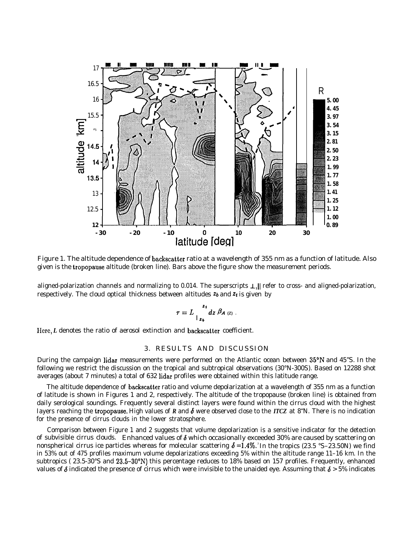

Figure 1. The altitude dependence of backscatter ratio at a wavelength of 355 nm as a function of latitude. Also given is the tropopause altitude (broken line). Bars above the figure show the measurement periods.

aligned-polarization channels and normalizing to 0.014. The superscripts  $\perp$ , || refer to cross- and aligned-polarization, respectively. The cloud optical thickness between altitudes  $z_b$  and  $z_t$  is given by

$$
\tau = L \frac{z_1}{I_{z_b}} dz \beta_{A(z)}.
$$

Here, *L* denotes the ratio of aerosol extinction and backscatter coefficient.

## 3. RESULTS AND DISCUSSION

During the campaign lidar measurements were performed on the Atlantic ocean between 35"N and 45"S. In the following we restrict the discussion on the tropical and subtropical observations (30°N-300S). Based on 12288 shot averages (about 7 minutes) a total of 632 lidar profiles were obtained within this latitude range.

The altitude dependence of backscatter ratio and volume depolarization at a wavelength of 355 nm as a function of latitude is shown in Figures 1 and 2, respectively. The altitude of the tropopause (broken line) is obtained from daily serological soundings. Frequently several distinct layers were found within the cirrus cloud with the highest Iayers reaching the tropopause. High values of *R* and  $\delta$  were observed close to the *ITCZ* at 8<sup>\*</sup>N. There is no indication for the presence of cirrus clouds in the lower stratosphere.

Comparison between Figure 1 and 2 suggests that volume depolarization is a sensitive indicator for the detection of subvisible cirrus clouds. Enhanced values of  $\delta$  which occasionally exceeded 30% are caused by scattering on nonspherical cirrus ice particles whereas for molecular scattering  $\delta = 1.4\%$ . In the tropics (23.5 °S–23.50N) we find in 53% out of 475 profiles maximum volume depolarizations exceeding 5% within the altitude range 11–16 km. In the subtropics ( 23.5-30°S and 23.5–30°N) this percentage reduces to 18% based on 157 profiles. Frequently, enhanced values of  $\delta$  indicated the presence of cirrus which were invisible to the unaided eye. Assuming that  $\delta$  > 5% indicates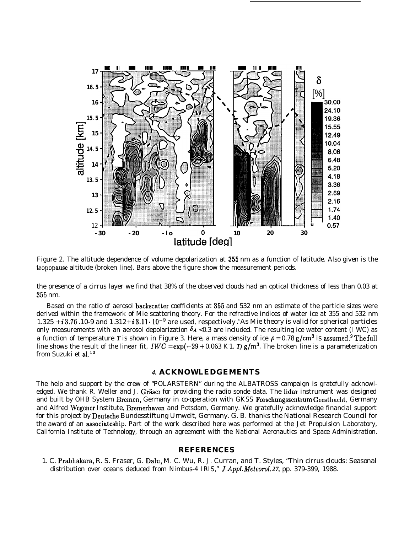

Figure 2. The altitude dependence of volume depolarization at 355 nm as a function of latitude. Also given is the tropopause altitude (broken line). Bars above the figure show the measurement periods.

the presence of a cirrus layer we find that 38% of the observed clouds had an optical thickness of less than 0.03 at 355 nm.

Based on the ratio of aerosol backscatter coefficients at 355 and 532 nm an estimate of the particle sizes were derived within the framework of Mie scattering theory. For the refractive indices of water ice at 355 and 532 nm 1.325 + i 3.76 .10-9 and 1.312+ i 3.11 $\cdot$  10<sup>-9</sup> are used, respectively . As Mie theory is valid for spherical particles only measurements with an aerosol depolarization  $\delta_A < 0.3$  are included. The resulting ice water content (I WC) as a function of temperature *T* is shown in Figure 3. Here, a mass density of ice  $\rho = 0.78$  g/cm<sup>3</sup> is assumed.<sup>9</sup> The full line shows the result of the linear fit,  $IWC = \exp(-29 + 0.063 \text{ K}1.$  *T)*  $\text{g}/\text{m}^3$ . The broken line is a parameterization from Suzuki et al.<sup>10</sup>

#### *4.* **ACKNOWLEDGEMENTS**

The help and support by the crew of "POLARSTERN" during the ALBATROSS campaign is gratefully acknowledged. We thank R. Weller and J. Gräser for providing the radio sonde data. The lidar instrument was designed and built by OHB System Bremen, Germany in co-operation with GKSS Forschungszentrum Geesthacht, Germany and Alfred Wegener Institute, Bremerhaven and Potsdam, Germany. We gratefully acknowledge financial support for this project by Deutsche Bundesstiftung Umwelt, Germany. G. B. thanks the National Research Council for the award of an associateship. Part of the work described here was performed at the Jet Propulsion Laboratory, California Institute of Technology, through an agreement with the National Aeronautics and Space Administration.

#### **REFERENCES**

1. C. Prabhakara, R. S. Fraser, G. Dalu, M. C. Wu, R. J. Curran, and T. Styles, "Thin cirrus clouds: Seasonal distribution over oceans deduced from Nimbus-4 IRIS," J. Appl. Meteorol. 27, pp. 379-399, 1988.